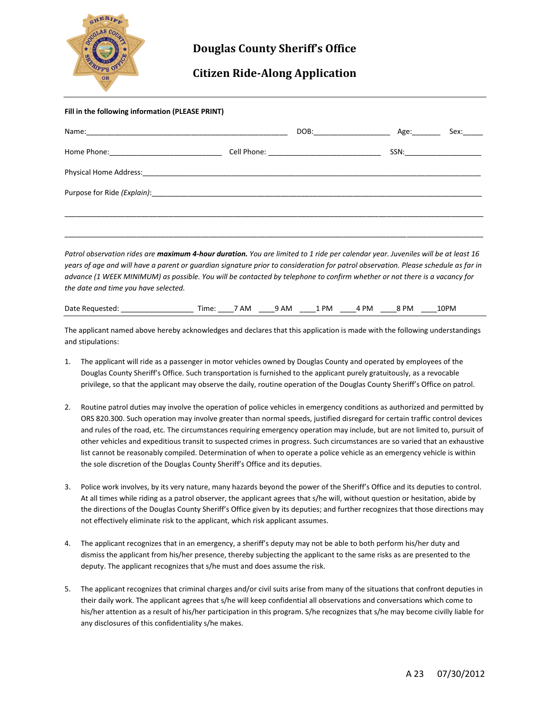

## **Douglas County Sheriff's Office**

## **Citizen Ride-Along Application**

| Fill in the following information (PLEASE PRINT) |  |  |  |                               |  |  |
|--------------------------------------------------|--|--|--|-------------------------------|--|--|
|                                                  |  |  |  | Sex:                          |  |  |
|                                                  |  |  |  | SSN:_________________________ |  |  |
|                                                  |  |  |  |                               |  |  |
|                                                  |  |  |  |                               |  |  |
|                                                  |  |  |  |                               |  |  |
|                                                  |  |  |  |                               |  |  |

*Patrol observation rides are maximum 4-hour duration. You are limited to 1 ride per calendar year. Juveniles will be at least 16 years of age and will have a parent or guardian signature prior to consideration for patrol observation. Please schedule as far in advance (1 WEEK MINIMUM) as possible. You will be contacted by telephone to confirm whether or not there is a vacancy for the date and time you have selected.* 

| Date<br>: Requested: | .ne | ' AM | AM | <b>PM</b> | <b>PM</b> | PM | 10PM |  |
|----------------------|-----|------|----|-----------|-----------|----|------|--|
|----------------------|-----|------|----|-----------|-----------|----|------|--|

The applicant named above hereby acknowledges and declares that this application is made with the following understandings and stipulations:

- 1. The applicant will ride as a passenger in motor vehicles owned by Douglas County and operated by employees of the Douglas County Sheriff's Office. Such transportation is furnished to the applicant purely gratuitously, as a revocable privilege, so that the applicant may observe the daily, routine operation of the Douglas County Sheriff's Office on patrol.
- 2. Routine patrol duties may involve the operation of police vehicles in emergency conditions as authorized and permitted by ORS 820.300. Such operation may involve greater than normal speeds, justified disregard for certain traffic control devices and rules of the road, etc. The circumstances requiring emergency operation may include, but are not limited to, pursuit of other vehicles and expeditious transit to suspected crimes in progress. Such circumstances are so varied that an exhaustive list cannot be reasonably compiled. Determination of when to operate a police vehicle as an emergency vehicle is within the sole discretion of the Douglas County Sheriff's Office and its deputies.
- 3. Police work involves, by its very nature, many hazards beyond the power of the Sheriff's Office and its deputies to control. At all times while riding as a patrol observer, the applicant agrees that s/he will, without question or hesitation, abide by the directions of the Douglas County Sheriff's Office given by its deputies; and further recognizes that those directions may not effectively eliminate risk to the applicant, which risk applicant assumes.
- 4. The applicant recognizes that in an emergency, a sheriff's deputy may not be able to both perform his/her duty and dismiss the applicant from his/her presence, thereby subjecting the applicant to the same risks as are presented to the deputy. The applicant recognizes that s/he must and does assume the risk.
- 5. The applicant recognizes that criminal charges and/or civil suits arise from many of the situations that confront deputies in their daily work. The applicant agrees that s/he will keep confidential all observations and conversations which come to his/her attention as a result of his/her participation in this program. S/he recognizes that s/he may become civilly liable for any disclosures of this confidentiality s/he makes.